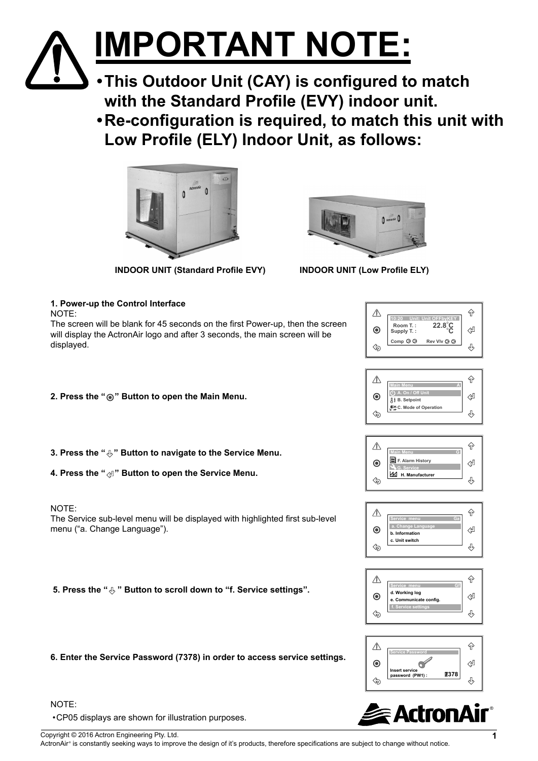# **IMPORTANT NOTE:**

**•This Outdoor Unit (CAY) is configured to match with the Standard Profile (EVY) indoor unit.** 

**•Re-configuration is required, to match this unit with Low Profile (ELY) Indoor Unit, as follows:**



**INDOOR UNIT (Standard Profile EVY) INDOOR UNIT (Low Profile ELY)**



| 1. Power-up the Control Interface<br>NOTE:                                                                                                                     | $\hat{P}$<br>⚠                                                                                           |
|----------------------------------------------------------------------------------------------------------------------------------------------------------------|----------------------------------------------------------------------------------------------------------|
| The screen will be blank for 45 seconds on the first Power-up, then the screen<br>will display the ActronAir logo and after 3 seconds, the main screen will be | Room T.:<br>22.8°C<br>섿<br>$\odot$<br>Supply T.:                                                         |
| displayed.                                                                                                                                                     | Comp $\otimes \otimes$<br>Rev VIv ◎ ◎<br>$\Diamond$<br>౪                                                 |
|                                                                                                                                                                | ⇧<br>⚠<br>On / Off Uni                                                                                   |
| 2. Press the " . "Button to open the Main Menu.                                                                                                                | ⇔<br>$\boldsymbol{\odot}$<br><sub>月</sub> B. Setpoint<br>C. Mode of Operation<br>⊕                       |
| 3. Press the " $\bigcirc$ " Button to navigate to the Service Menu.                                                                                            | $\hat{P}$<br>⚠<br>F. Alarm History                                                                       |
| 4. Press the " $\text{QI}$ " Button to open the Service Menu.                                                                                                  | ⇦<br>$\odot$<br>G. Service<br>H. Manufacturer<br>⊕                                                       |
| NOTE:<br>The Service sub-level menu will be displayed with highlighted first sub-level                                                                         | $\Diamond$<br>⚠<br>a. Change Langua                                                                      |
| menu ("a. Change Language").                                                                                                                                   | 섿<br>$\circledcirc$<br>b. Information<br>c. Unit switch<br>$\Diamond$<br>౪                               |
| 5. Press the " $\&$ " Button to scroll down to "f. Service settings".                                                                                          | ⇧<br>⚠                                                                                                   |
|                                                                                                                                                                | d. Working log<br>⇦<br>$\boldsymbol{\circledcirc}$<br>e. Communicate config.<br>f. Service settings<br>⊕ |
|                                                                                                                                                                | $\hat{P}$<br>⚠<br><b>Service Passwor</b>                                                                 |
| 6. Enter the Service Password (7378) in order to access service settings.                                                                                      | ⇔<br>$\boldsymbol{\odot}$<br>Insert service<br>7378<br>password (PW1):<br>⊕<br>∕ਙ                        |
| NOTE:                                                                                                                                                          |                                                                                                          |
| • CP05 displays are shown for illustration purposes.                                                                                                           | <b>actronal and</b>                                                                                      |

### NOTE:

•CP05 displays are shown for illustration purposes.

Copyright © 2016 Actron Engineering Pty. Ltd. **1**

ActronAir® is constantly seeking ways to improve the design of it's products, therefore specifications are subject to change without notice.

®**R**